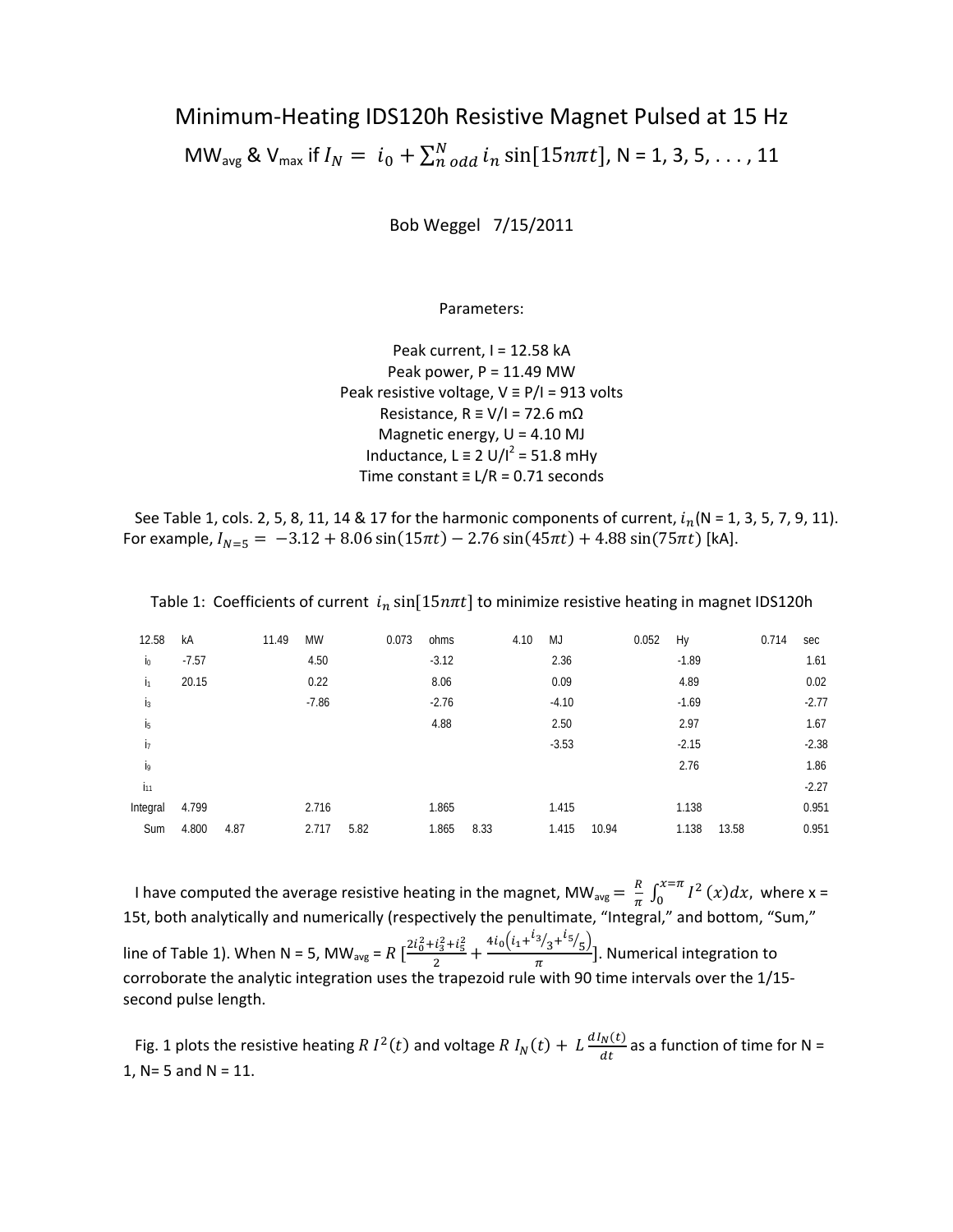# Minimum‐Heating IDS120h Resistive Magnet Pulsed at 15 Hz MW<sub>avg</sub> & V<sub>max</sub> if  $I_N = i_0 + \sum_{n \text{ odd}}^N i_n \sin[15n\pi t]$ , N = 1, 3, 5, . . . , 11

Bob Weggel 7/15/2011

Parameters:

Peak current, I = 12.58 kA Peak power,  $P = 11.49$  MW Peak resistive voltage, V ≡ P/I = 913 volts Resistance,  $R \equiv V/I = 72.6$  m $\Omega$ Magnetic energy, U = 4.10 MJ Inductance, L  $\equiv$  2 U/I<sup>2</sup> = 51.8 mHy Time constant ≡ L/R = 0.71 seconds

See Table 1, cols. 2, 5, 8, 11, 14 & 17 for the harmonic components of current,  $i_n$  (N = 1, 3, 5, 7, 9, 11). For example,  $I_{N=5} = -3.12 + 8.06 \sin(15\pi t) - 2.76 \sin(45\pi t) + 4.88 \sin(75\pi t)$  [kA].

| 12.58          | kA      | 11.49 | MW      | 0.073 | ohms    | 4.10 | MJ      | 0.052 | Hy      |       | 0.714 | sec     |
|----------------|---------|-------|---------|-------|---------|------|---------|-------|---------|-------|-------|---------|
| $\mathsf{I}_0$ | $-7.57$ |       | 4.50    |       | $-3.12$ |      | 2.36    |       | $-1.89$ |       |       | 1.61    |
| I1             | 20.15   |       | 0.22    |       | 8.06    |      | 0.09    |       | 4.89    |       |       | 0.02    |
| i <sub>3</sub> |         |       | $-7.86$ |       | $-2.76$ |      | $-4.10$ |       | $-1.69$ |       |       | $-2.77$ |
| İ5             |         |       |         |       | 4.88    |      | 2.50    |       | 2.97    |       |       | 1.67    |
| İ7             |         |       |         |       |         |      | $-3.53$ |       | $-2.15$ |       |       | $-2.38$ |
| j9             |         |       |         |       |         |      |         |       | 2.76    |       |       | 1.86    |
| $i_{11}$       |         |       |         |       |         |      |         |       |         |       |       | $-2.27$ |
| Integral       | 4.799   |       | 2.716   |       | 1.865   |      | 1.415   |       | 1.138   |       |       | 0.951   |
| Sum            | 4.800   | 4.87  | 2.717   | 5.82  | 1.865   | 8.33 | 1.415   | 10.94 | 1.138   | 13.58 |       | 0.951   |

Table 1: Coefficients of current  $i_n \sin[15n\pi t]$  to minimize resistive heating in magnet IDS120h

I have computed the average resistive heating in the magnet, MW<sub>avg</sub> =  $\frac{R}{\pi} \int_0^{x=\pi} I^2(x) dx$ , where x = 15t, both analytically and numerically (respectively the penultimate, "Integral," and bottom, "Sum," line of Table 1). When N = 5, MW<sub>avg</sub> = R  $\left[\frac{2i_0^2 + i_3^2 + i_5^2}{2}\right]$  $\frac{i_3^2+i_5^2}{2}+\frac{4i_0\left(i_1+\frac{i_3}{3}+\frac{i_5}{5}\right)}{\pi}$ ]. Numerical integration to corroborate the analytic integration uses the trapezoid rule with 90 time intervals over the 1/15‐ second pulse length.

Fig. 1 plots the resistive heating R  $I^2(t)$  and voltage R  $I_N(t) + L \frac{dI_N(t)}{dt}$  as a function of time for N = 1, N= 5 and N = 11.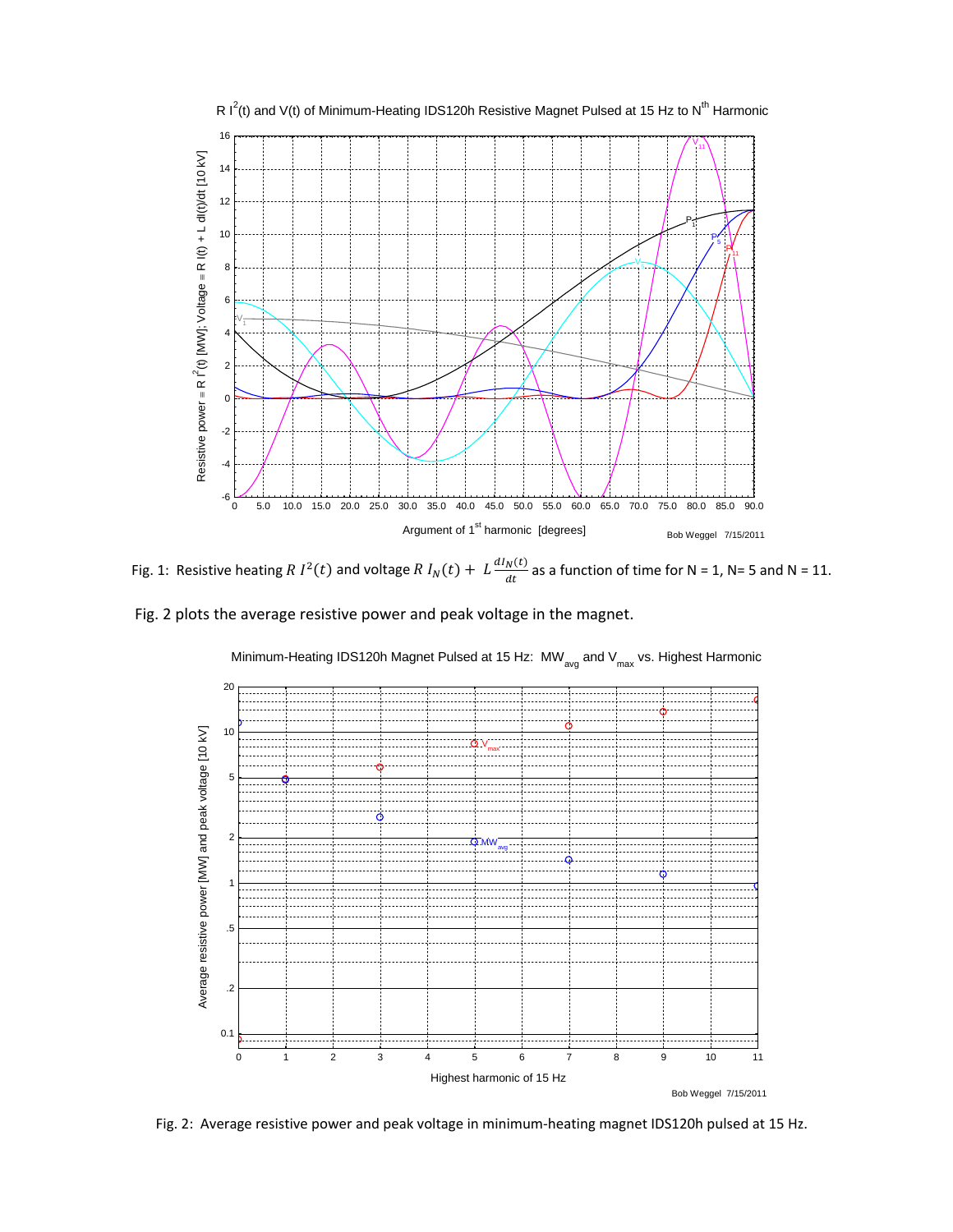

Fig. 1: Resistive heating R  $I^2(t)$  and voltage R  $I_N(t) + L \frac{dI_N(t)}{dt}$  as a function of time for N = 1, N= 5 and N = 11.

Fig. 2 plots the average resistive power and peak voltage in the magnet.



Minimum-Heating IDS120h Magnet Pulsed at 15 Hz:  $MW_{avg}$  and  $V_{max}$  vs. Highest Harmonic

Fig. 2: Average resistive power and peak voltage in minimum‐heating magnet IDS120h pulsed at 15 Hz.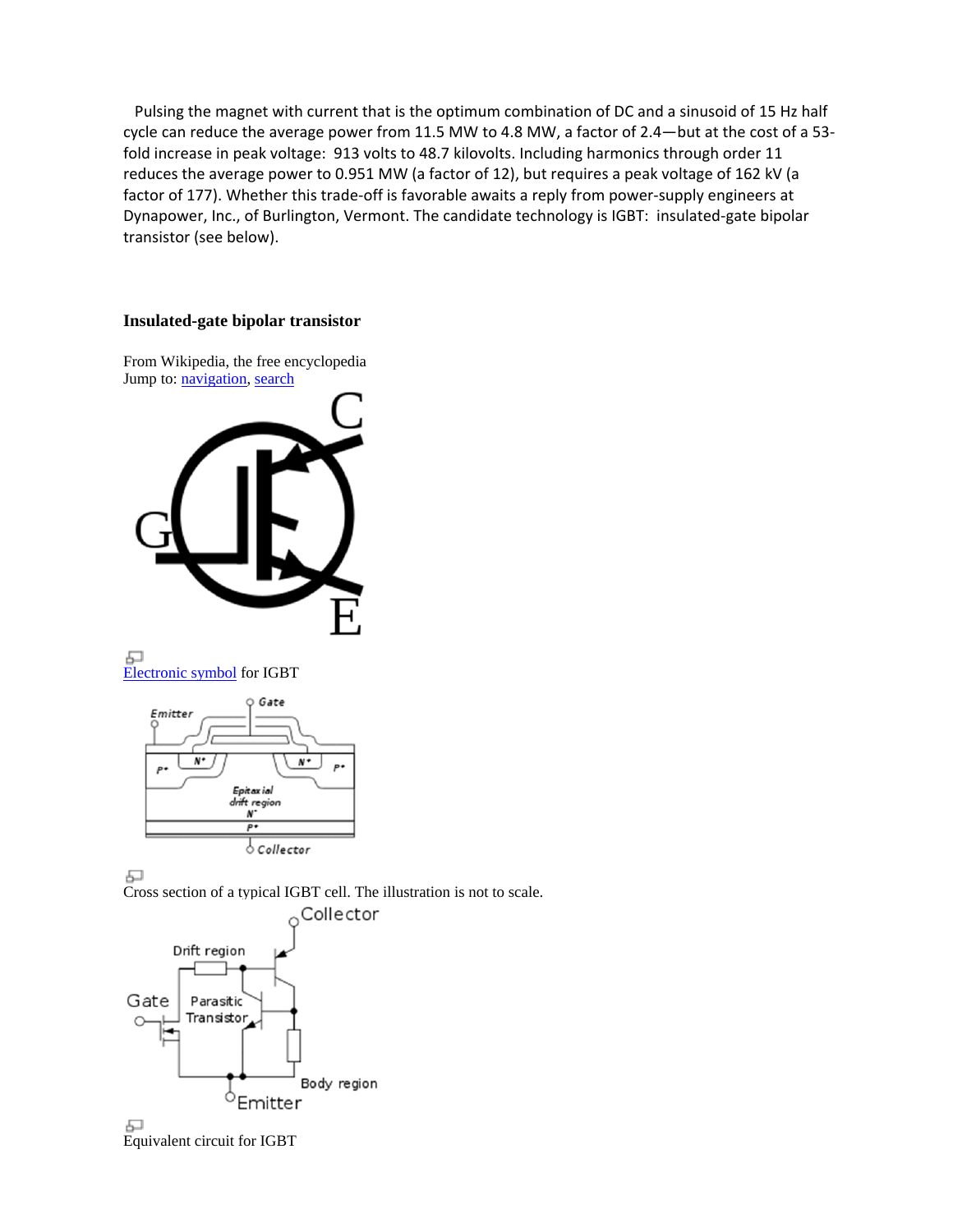Pulsing the magnet with current that is the optimum combination of DC and a sinusoid of 15 Hz half cycle can reduce the average power from 11.5 MW to 4.8 MW, a factor of 2.4—but at the cost of a 53‐ fold increase in peak voltage: 913 volts to 48.7 kilovolts. Including harmonics through order 11 reduces the average power to 0.951 MW (a factor of 12), but requires a peak voltage of 162 kV (a factor of 177). Whether this trade‐off is favorable awaits a reply from power‐supply engineers at Dynapower, Inc., of Burlington, Vermont. The candidate technology is IGBT: insulated‐gate bipolar transistor (see below).

## **Insulated-gate bipolar transistor**

From Wikipedia, the free encyclopedia Jump to: navigation, search



모 Electronic symbol for IGBT



모

Cross section of a typical IGBT cell. The illustration is not to scale.

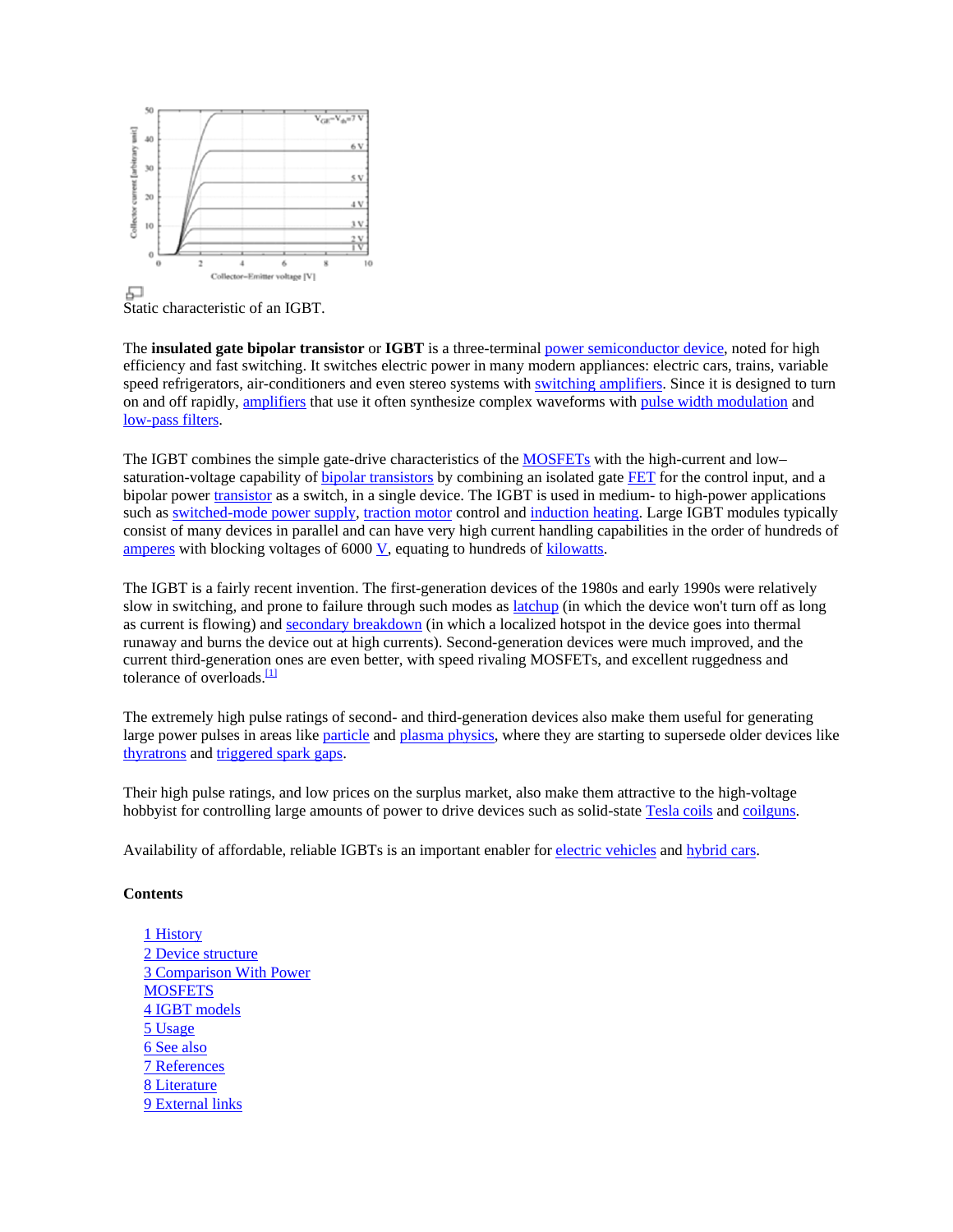

Static characteristic of an IGBT.

The **insulated gate bipolar transistor** or **IGBT** is a three-terminal power semiconductor device, noted for high efficiency and fast switching. It switches electric power in many modern appliances: electric cars, trains, variable speed refrigerators, air-conditioners and even stereo systems with switching amplifiers. Since it is designed to turn on and off rapidly, amplifiers that use it often synthesize complex waveforms with pulse width modulation and low-pass filters.

The IGBT combines the simple gate-drive characteristics of the MOSFETs with the high-current and low– saturation-voltage capability of bipolar transistors by combining an isolated gate FET for the control input, and a bipolar power transistor as a switch, in a single device. The IGBT is used in medium- to high-power applications such as switched-mode power supply, traction motor control and induction heating. Large IGBT modules typically consist of many devices in parallel and can have very high current handling capabilities in the order of hundreds of amperes with blocking voltages of 6000 V, equating to hundreds of kilowatts.

The IGBT is a fairly recent invention. The first-generation devices of the 1980s and early 1990s were relatively slow in switching, and prone to failure through such modes as **latchup** (in which the device won't turn off as long as current is flowing) and secondary breakdown (in which a localized hotspot in the device goes into thermal runaway and burns the device out at high currents). Second-generation devices were much improved, and the current third-generation ones are even better, with speed rivaling MOSFETs, and excellent ruggedness and tolerance of overloads.<sup>[1]</sup>

The extremely high pulse ratings of second- and third-generation devices also make them useful for generating large power pulses in areas like particle and plasma physics, where they are starting to supersede older devices like thyratrons and triggered spark gaps.

Their high pulse ratings, and low prices on the surplus market, also make them attractive to the high-voltage hobbyist for controlling large amounts of power to drive devices such as solid-state Tesla coils and coilguns.

Availability of affordable, reliable IGBTs is an important enabler for electric vehicles and hybrid cars.

## **Contents**

1 History 2 Device structure 3 Comparison With Power **MOSFETS** 4 IGBT models 5 Usage 6 See also 7 References 8 Literature 9 External links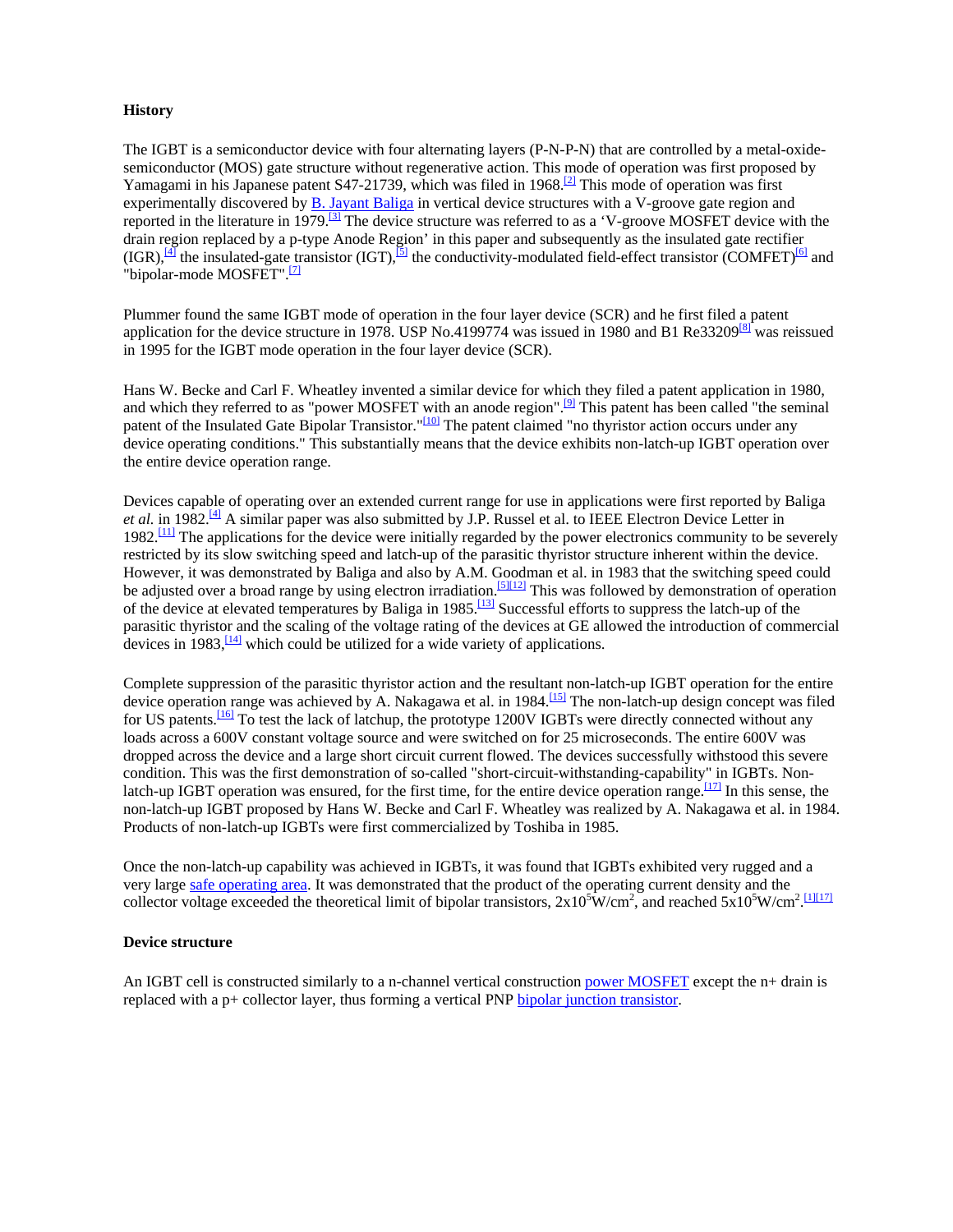#### **History**

The IGBT is a semiconductor device with four alternating layers (P-N-P-N) that are controlled by a metal-oxidesemiconductor (MOS) gate structure without regenerative action. This mode of operation was first proposed by Yamagami in his Japanese patent S47-21739, which was filed in 1968.<sup>[2]</sup> This mode of operation was first experimentally discovered by B. Jayant Baliga in vertical device structures with a V-groove gate region and reported in the literature in 1979.<sup>[3]</sup> The device structure was referred to as a 'V-groove MOSFET device with the drain region replaced by a p-type Anode Region' in this paper and subsequently as the insulated gate rectifier  $(IGR), \frac{[4]}{4}$  the insulated-gate transistor  $(IGT), \frac{[5]}{2}$  the conductivity-modulated field-effect transistor  $(COMFET)^{[6]}$  and "bipolar-mode MOSFET".<sup>[7]</sup>

Plummer found the same IGBT mode of operation in the four layer device (SCR) and he first filed a patent application for the device structure in 1978. USP No.4199774 was issued in 1980 and B1 Re33209<sup>[8]</sup> was reissued in 1995 for the IGBT mode operation in the four layer device (SCR).

Hans W. Becke and Carl F. Wheatley invented a similar device for which they filed a patent application in 1980, and which they referred to as "power MOSFET with an anode region".<sup>[9]</sup> This patent has been called "the seminal patent of the Insulated Gate Bipolar Transistor."<sup>[10]</sup> The patent claimed "no thyristor action occurs under any device operating conditions." This substantially means that the device exhibits non-latch-up IGBT operation over the entire device operation range.

Devices capable of operating over an extended current range for use in applications were first reported by Baliga *et al.* in 1982.<sup>[4]</sup> A similar paper was also submitted by J.P. Russel et al. to IEEE Electron Device Letter in  $1982$ .<sup>[11]</sup> The applications for the device were initially regarded by the power electronics community to be severely restricted by its slow switching speed and latch-up of the parasitic thyristor structure inherent within the device. However, it was demonstrated by Baliga and also by A.M. Goodman et al. in 1983 that the switching speed could be adjusted over a broad range by using electron irradiation.<sup>[5][12]</sup> This was followed by demonstration of operation of the device at elevated temperatures by Baliga in 1985.<sup>[13]</sup> Successful efforts to suppress the latch-up of the parasitic thyristor and the scaling of the voltage rating of the devices at GE allowed the introduction of commercial devices in  $1983$ ,  $\frac{1141}{120}$  which could be utilized for a wide variety of applications.

Complete suppression of the parasitic thyristor action and the resultant non-latch-up IGBT operation for the entire device operation range was achieved by A. Nakagawa et al. in 1984.<sup>[15]</sup> The non-latch-up design concept was filed for US patents.[16] To test the lack of latchup, the prototype 1200V IGBTs were directly connected without any loads across a 600V constant voltage source and were switched on for 25 microseconds. The entire 600V was dropped across the device and a large short circuit current flowed. The devices successfully withstood this severe condition. This was the first demonstration of so-called "short-circuit-withstanding-capability" in IGBTs. Nonlatch-up IGBT operation was ensured, for the first time, for the entire device operation range.<sup>[17]</sup> In this sense, the non-latch-up IGBT proposed by Hans W. Becke and Carl F. Wheatley was realized by A. Nakagawa et al. in 1984. Products of non-latch-up IGBTs were first commercialized by Toshiba in 1985.

Once the non-latch-up capability was achieved in IGBTs, it was found that IGBTs exhibited very rugged and a very large safe operating area. It was demonstrated that the product of the operating current density and the collector voltage exceeded the theoretical limit of bipolar transistors,  $2x10^5$ W/cm<sup>2</sup>, and reached  $5x10^5$ W/cm<sup>2</sup>.

#### **Device structure**

An IGBT cell is constructed similarly to a n-channel vertical construction power MOSFET except the n+ drain is replaced with a p+ collector layer, thus forming a vertical PNP bipolar junction transistor.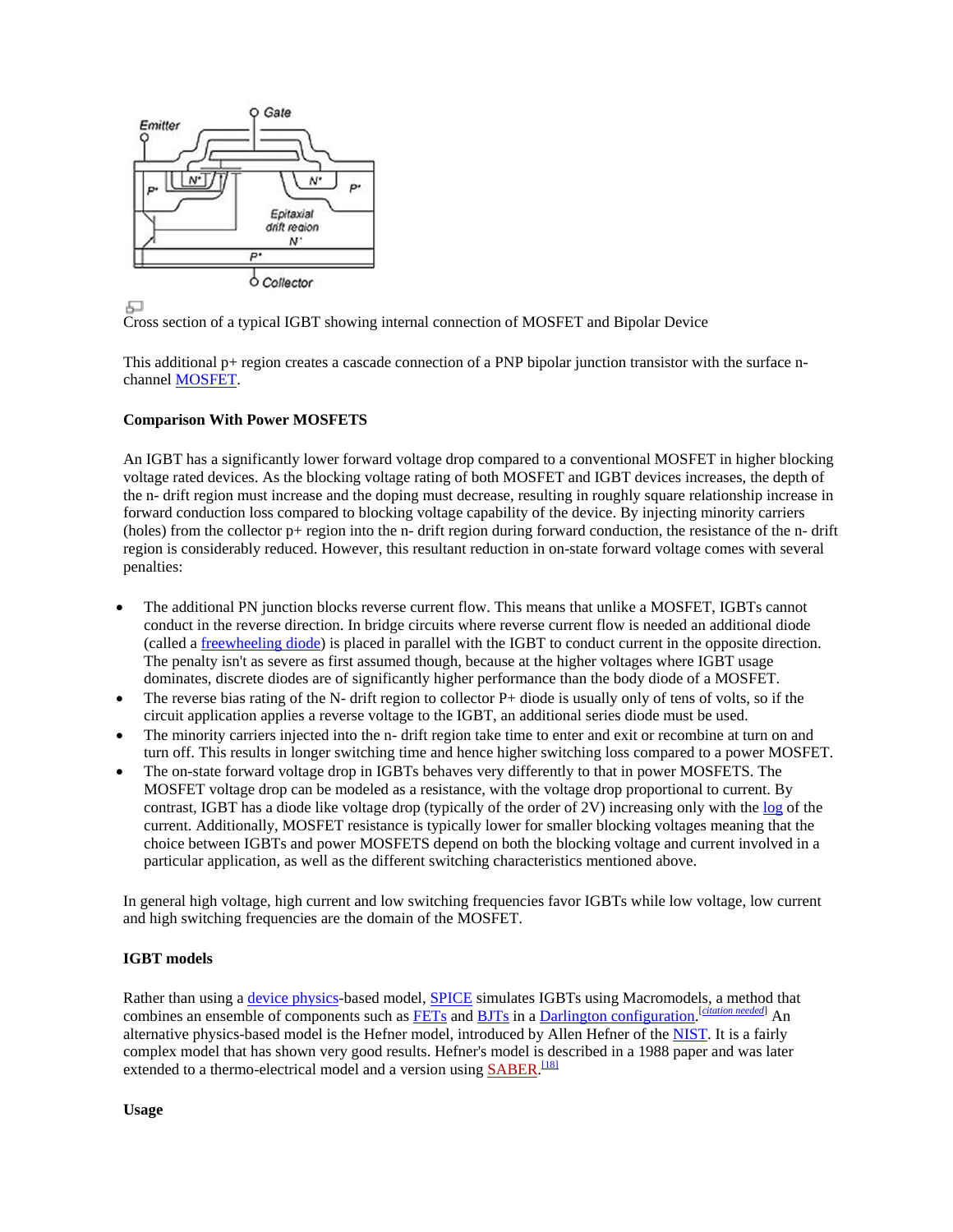

모

Cross section of a typical IGBT showing internal connection of MOSFET and Bipolar Device

This additional p+ region creates a cascade connection of a PNP bipolar junction transistor with the surface nchannel MOSFET.

### **Comparison With Power MOSFETS**

An IGBT has a significantly lower forward voltage drop compared to a conventional MOSFET in higher blocking voltage rated devices. As the blocking voltage rating of both MOSFET and IGBT devices increases, the depth of the n- drift region must increase and the doping must decrease, resulting in roughly square relationship increase in forward conduction loss compared to blocking voltage capability of the device. By injecting minority carriers (holes) from the collector p+ region into the n- drift region during forward conduction, the resistance of the n- drift region is considerably reduced. However, this resultant reduction in on-state forward voltage comes with several penalties:

- The additional PN junction blocks reverse current flow. This means that unlike a MOSFET, IGBTs cannot conduct in the reverse direction. In bridge circuits where reverse current flow is needed an additional diode (called a freewheeling diode) is placed in parallel with the IGBT to conduct current in the opposite direction. The penalty isn't as severe as first assumed though, because at the higher voltages where IGBT usage dominates, discrete diodes are of significantly higher performance than the body diode of a MOSFET.
- The reverse bias rating of the N- drift region to collector P+ diode is usually only of tens of volts, so if the circuit application applies a reverse voltage to the IGBT, an additional series diode must be used.
- The minority carriers injected into the n- drift region take time to enter and exit or recombine at turn on and turn off. This results in longer switching time and hence higher switching loss compared to a power MOSFET.
- The on-state forward voltage drop in IGBTs behaves very differently to that in power MOSFETS. The MOSFET voltage drop can be modeled as a resistance, with the voltage drop proportional to current. By contrast, IGBT has a diode like voltage drop (typically of the order of 2V) increasing only with the log of the current. Additionally, MOSFET resistance is typically lower for smaller blocking voltages meaning that the choice between IGBTs and power MOSFETS depend on both the blocking voltage and current involved in a particular application, as well as the different switching characteristics mentioned above.

In general high voltage, high current and low switching frequencies favor IGBTs while low voltage, low current and high switching frequencies are the domain of the MOSFET.

## **IGBT models**

Rather than using a device physics-based model, SPICE simulates IGBTs using Macromodels, a method that combines an ensemble of components such as **FETs** and **BJTs** in a **Darlington** configuration. <sup>[citation needed]</sup> An alternative physics-based model is the Hefner model, introduced by Allen Hefner of the NIST. It is a fairly complex model that has shown very good results. Hefner's model is described in a 1988 paper and was later extended to a thermo-electrical model and a version using **SABER**.<sup>[18]</sup>

**Usage**